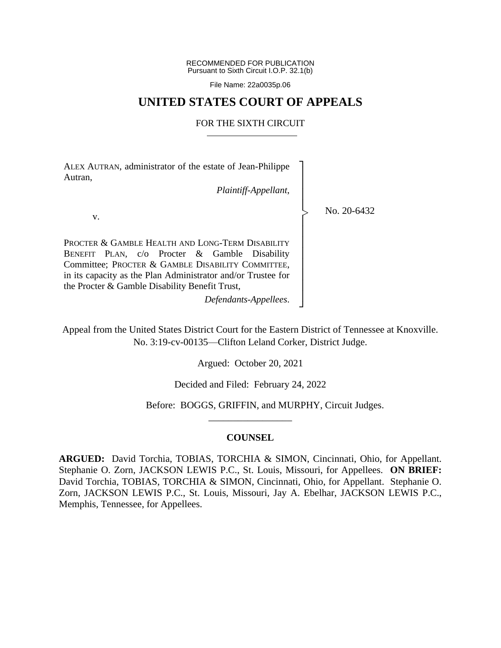RECOMMENDED FOR PUBLICATION Pursuant to Sixth Circuit I.O.P. 32.1(b)

File Name: 22a0035p.06

## **UNITED STATES COURT OF APPEALS**

### FOR THE SIXTH CIRCUIT

ALEX AUTRAN, administrator of the estate of Jean-Philippe Autran,

*Plaintiff-Appellant*,

┐ │ │ │ │ │ │ │ │ │ │ │ │ ┘

|<br>|<br>|

No. 20-6432

v.

PROCTER & GAMBLE HEALTH AND LONG-TERM DISABILITY BENEFIT PLAN, c/o Procter & Gamble Disability Committee; PROCTER & GAMBLE DISABILITY COMMITTEE, in its capacity as the Plan Administrator and/or Trustee for the Procter & Gamble Disability Benefit Trust,

*Defendants-Appellees*.

Appeal from the United States District Court for the Eastern District of Tennessee at Knoxville. No. 3:19-cv-00135—Clifton Leland Corker, District Judge.

Argued: October 20, 2021

Decided and Filed: February 24, 2022

Before: BOGGS, GRIFFIN, and MURPHY, Circuit Judges.

### **COUNSEL**

\_\_\_\_\_\_\_\_\_\_\_\_\_\_\_\_\_

**ARGUED:** David Torchia, TOBIAS, TORCHIA & SIMON, Cincinnati, Ohio, for Appellant. Stephanie O. Zorn, JACKSON LEWIS P.C., St. Louis, Missouri, for Appellees. **ON BRIEF:** David Torchia, TOBIAS, TORCHIA & SIMON, Cincinnati, Ohio, for Appellant. Stephanie O. Zorn, JACKSON LEWIS P.C., St. Louis, Missouri, Jay A. Ebelhar, JACKSON LEWIS P.C., Memphis, Tennessee, for Appellees.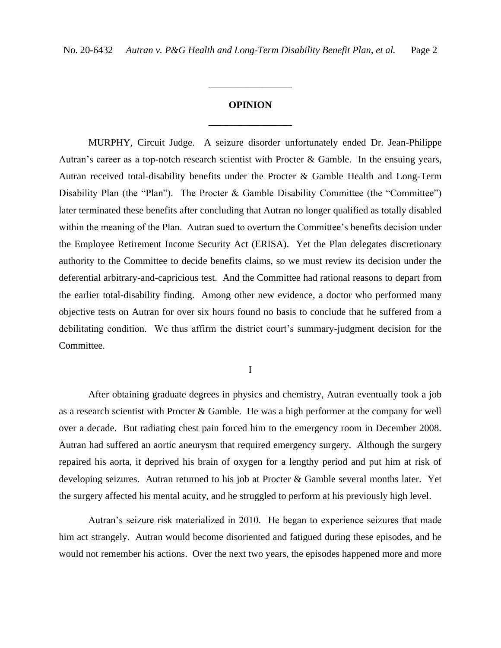# **OPINION** \_\_\_\_\_\_\_\_\_\_\_\_\_\_\_\_\_

\_\_\_\_\_\_\_\_\_\_\_\_\_\_\_\_\_

MURPHY, Circuit Judge. A seizure disorder unfortunately ended Dr. Jean-Philippe Autran's career as a top-notch research scientist with Procter & Gamble. In the ensuing years, Autran received total-disability benefits under the Procter & Gamble Health and Long-Term Disability Plan (the "Plan"). The Procter & Gamble Disability Committee (the "Committee") later terminated these benefits after concluding that Autran no longer qualified as totally disabled within the meaning of the Plan. Autran sued to overturn the Committee's benefits decision under the Employee Retirement Income Security Act (ERISA). Yet the Plan delegates discretionary authority to the Committee to decide benefits claims, so we must review its decision under the deferential arbitrary-and-capricious test. And the Committee had rational reasons to depart from the earlier total-disability finding. Among other new evidence, a doctor who performed many objective tests on Autran for over six hours found no basis to conclude that he suffered from a debilitating condition. We thus affirm the district court's summary-judgment decision for the Committee.

I

After obtaining graduate degrees in physics and chemistry, Autran eventually took a job as a research scientist with Procter & Gamble. He was a high performer at the company for well over a decade. But radiating chest pain forced him to the emergency room in December 2008. Autran had suffered an aortic aneurysm that required emergency surgery. Although the surgery repaired his aorta, it deprived his brain of oxygen for a lengthy period and put him at risk of developing seizures. Autran returned to his job at Procter & Gamble several months later. Yet the surgery affected his mental acuity, and he struggled to perform at his previously high level.

Autran's seizure risk materialized in 2010. He began to experience seizures that made him act strangely. Autran would become disoriented and fatigued during these episodes, and he would not remember his actions. Over the next two years, the episodes happened more and more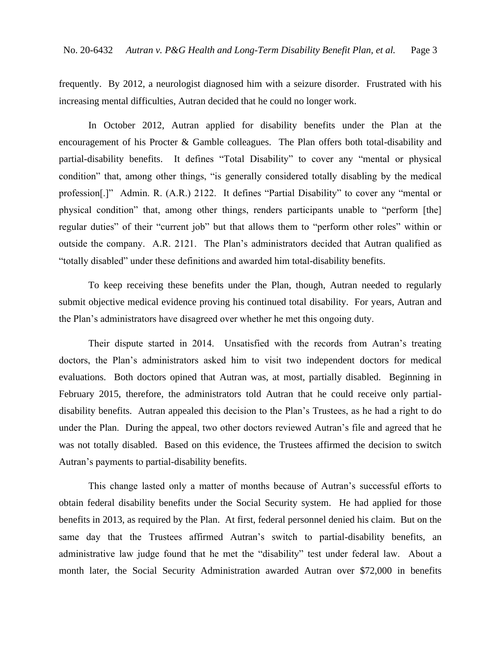frequently. By 2012, a neurologist diagnosed him with a seizure disorder. Frustrated with his increasing mental difficulties, Autran decided that he could no longer work.

In October 2012, Autran applied for disability benefits under the Plan at the encouragement of his Procter & Gamble colleagues. The Plan offers both total-disability and partial-disability benefits. It defines "Total Disability" to cover any "mental or physical condition" that, among other things, "is generally considered totally disabling by the medical profession[.]" Admin. R. (A.R.) 2122. It defines "Partial Disability" to cover any "mental or physical condition" that, among other things, renders participants unable to "perform [the] regular duties" of their "current job" but that allows them to "perform other roles" within or outside the company. A.R. 2121. The Plan's administrators decided that Autran qualified as "totally disabled" under these definitions and awarded him total-disability benefits.

To keep receiving these benefits under the Plan, though, Autran needed to regularly submit objective medical evidence proving his continued total disability. For years, Autran and the Plan's administrators have disagreed over whether he met this ongoing duty.

Their dispute started in 2014. Unsatisfied with the records from Autran's treating doctors, the Plan's administrators asked him to visit two independent doctors for medical evaluations. Both doctors opined that Autran was, at most, partially disabled. Beginning in February 2015, therefore, the administrators told Autran that he could receive only partialdisability benefits. Autran appealed this decision to the Plan's Trustees, as he had a right to do under the Plan. During the appeal, two other doctors reviewed Autran's file and agreed that he was not totally disabled. Based on this evidence, the Trustees affirmed the decision to switch Autran's payments to partial-disability benefits.

This change lasted only a matter of months because of Autran's successful efforts to obtain federal disability benefits under the Social Security system. He had applied for those benefits in 2013, as required by the Plan. At first, federal personnel denied his claim. But on the same day that the Trustees affirmed Autran's switch to partial-disability benefits, an administrative law judge found that he met the "disability" test under federal law. About a month later, the Social Security Administration awarded Autran over \$72,000 in benefits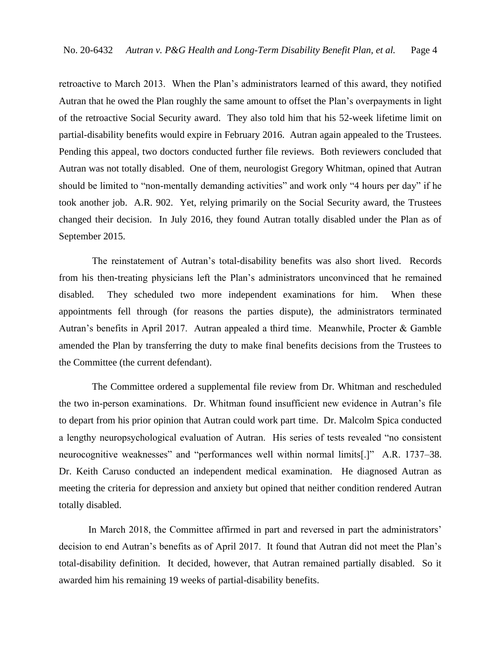retroactive to March 2013. When the Plan's administrators learned of this award, they notified Autran that he owed the Plan roughly the same amount to offset the Plan's overpayments in light of the retroactive Social Security award. They also told him that his 52-week lifetime limit on partial-disability benefits would expire in February 2016. Autran again appealed to the Trustees. Pending this appeal, two doctors conducted further file reviews. Both reviewers concluded that Autran was not totally disabled. One of them, neurologist Gregory Whitman, opined that Autran should be limited to "non-mentally demanding activities" and work only "4 hours per day" if he took another job. A.R. 902. Yet, relying primarily on the Social Security award, the Trustees changed their decision. In July 2016, they found Autran totally disabled under the Plan as of September 2015.

The reinstatement of Autran's total-disability benefits was also short lived. Records from his then-treating physicians left the Plan's administrators unconvinced that he remained disabled. They scheduled two more independent examinations for him. When these appointments fell through (for reasons the parties dispute), the administrators terminated Autran's benefits in April 2017. Autran appealed a third time. Meanwhile, Procter & Gamble amended the Plan by transferring the duty to make final benefits decisions from the Trustees to the Committee (the current defendant).

The Committee ordered a supplemental file review from Dr. Whitman and rescheduled the two in-person examinations. Dr. Whitman found insufficient new evidence in Autran's file to depart from his prior opinion that Autran could work part time. Dr. Malcolm Spica conducted a lengthy neuropsychological evaluation of Autran. His series of tests revealed "no consistent neurocognitive weaknesses" and "performances well within normal limits[.]" A.R. 1737–38. Dr. Keith Caruso conducted an independent medical examination. He diagnosed Autran as meeting the criteria for depression and anxiety but opined that neither condition rendered Autran totally disabled.

In March 2018, the Committee affirmed in part and reversed in part the administrators' decision to end Autran's benefits as of April 2017. It found that Autran did not meet the Plan's total-disability definition. It decided, however, that Autran remained partially disabled. So it awarded him his remaining 19 weeks of partial-disability benefits.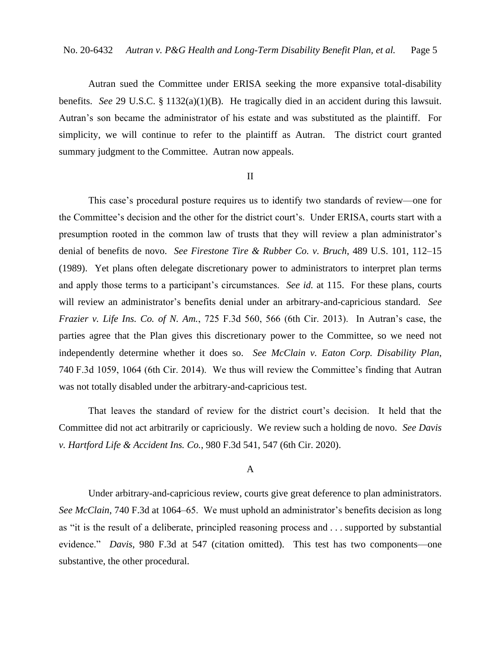Autran sued the Committee under ERISA seeking the more expansive total-disability benefits. *See* 29 U.S.C. § 1132(a)(1)(B). He tragically died in an accident during this lawsuit. Autran's son became the administrator of his estate and was substituted as the plaintiff. For simplicity, we will continue to refer to the plaintiff as Autran. The district court granted summary judgment to the Committee. Autran now appeals.

### II

This case's procedural posture requires us to identify two standards of review—one for the Committee's decision and the other for the district court's. Under ERISA, courts start with a presumption rooted in the common law of trusts that they will review a plan administrator's denial of benefits de novo. *See Firestone Tire & Rubber Co. v. Bruch*, 489 U.S. 101, 112–15 (1989). Yet plans often delegate discretionary power to administrators to interpret plan terms and apply those terms to a participant's circumstances. *See id.* at 115. For these plans, courts will review an administrator's benefits denial under an arbitrary-and-capricious standard. *See Frazier v. Life Ins. Co. of N. Am.*, 725 F.3d 560, 566 (6th Cir. 2013). In Autran's case, the parties agree that the Plan gives this discretionary power to the Committee, so we need not independently determine whether it does so. *See McClain v. Eaton Corp. Disability Plan*, 740 F.3d 1059, 1064 (6th Cir. 2014). We thus will review the Committee's finding that Autran was not totally disabled under the arbitrary-and-capricious test.

That leaves the standard of review for the district court's decision. It held that the Committee did not act arbitrarily or capriciously. We review such a holding de novo. *See Davis v. Hartford Life & Accident Ins. Co.*, 980 F.3d 541, 547 (6th Cir. 2020).

### A

Under arbitrary-and-capricious review, courts give great deference to plan administrators. *See McClain*, 740 F.3d at 1064–65. We must uphold an administrator's benefits decision as long as "it is the result of a deliberate, principled reasoning process and . . . supported by substantial evidence." *Davis*, 980 F.3d at 547 (citation omitted). This test has two components—one substantive, the other procedural.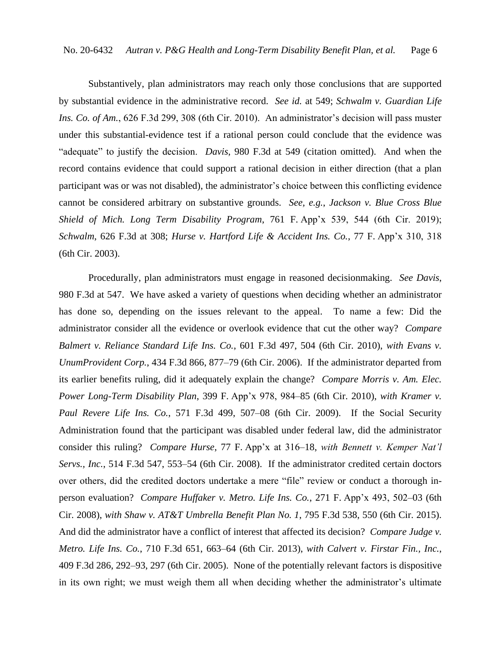Substantively, plan administrators may reach only those conclusions that are supported by substantial evidence in the administrative record. *See id.* at 549; *Schwalm v. Guardian Life Ins. Co. of Am.*, 626 F.3d 299, 308 (6th Cir. 2010). An administrator's decision will pass muster under this substantial-evidence test if a rational person could conclude that the evidence was "adequate" to justify the decision. *Davis*, 980 F.3d at 549 (citation omitted). And when the record contains evidence that could support a rational decision in either direction (that a plan participant was or was not disabled), the administrator's choice between this conflicting evidence cannot be considered arbitrary on substantive grounds. *See, e.g.*, *Jackson v. Blue Cross Blue Shield of Mich. Long Term Disability Program*, 761 F. App'x 539, 544 (6th Cir. 2019); *Schwalm*, 626 F.3d at 308; *Hurse v. Hartford Life & Accident Ins. Co.*, 77 F. App'x 310, 318 (6th Cir. 2003).

Procedurally, plan administrators must engage in reasoned decisionmaking. *See Davis*, 980 F.3d at 547. We have asked a variety of questions when deciding whether an administrator has done so, depending on the issues relevant to the appeal. To name a few: Did the administrator consider all the evidence or overlook evidence that cut the other way? *Compare Balmert v. Reliance Standard Life Ins. Co.*, 601 F.3d 497, 504 (6th Cir. 2010), *with Evans v. UnumProvident Corp.*, 434 F.3d 866, 877–79 (6th Cir. 2006). If the administrator departed from its earlier benefits ruling, did it adequately explain the change? *Compare Morris v. Am. Elec. Power Long-Term Disability Plan*, 399 F. App'x 978, 984–85 (6th Cir. 2010), *with Kramer v. Paul Revere Life Ins. Co.*, 571 F.3d 499, 507–08 (6th Cir. 2009). If the Social Security Administration found that the participant was disabled under federal law, did the administrator consider this ruling? *Compare Hurse*, 77 F. App'x at 316–18, *with Bennett v. Kemper Nat'l Servs., Inc.*, 514 F.3d 547, 553–54 (6th Cir. 2008). If the administrator credited certain doctors over others, did the credited doctors undertake a mere "file" review or conduct a thorough inperson evaluation? *Compare Huffaker v. Metro. Life Ins. Co.*, 271 F. App'x 493, 502–03 (6th Cir. 2008), *with Shaw v. AT&T Umbrella Benefit Plan No. 1*, 795 F.3d 538, 550 (6th Cir. 2015). And did the administrator have a conflict of interest that affected its decision? *Compare Judge v. Metro. Life Ins. Co.*, 710 F.3d 651, 663–64 (6th Cir. 2013), *with Calvert v. Firstar Fin., Inc.*, 409 F.3d 286, 292–93, 297 (6th Cir. 2005). None of the potentially relevant factors is dispositive in its own right; we must weigh them all when deciding whether the administrator's ultimate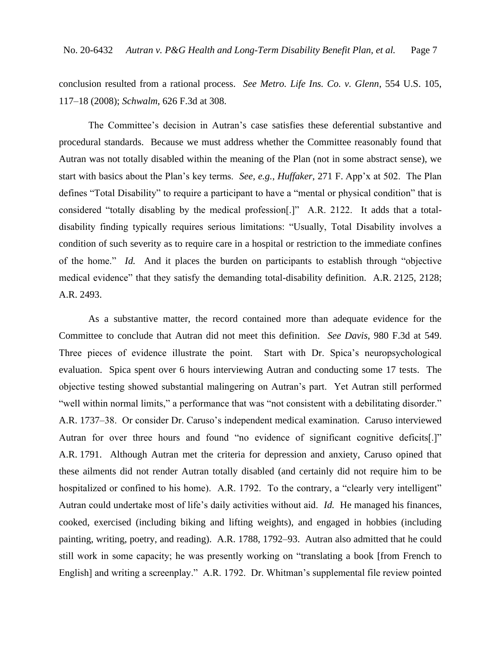conclusion resulted from a rational process. *See Metro. Life Ins. Co. v. Glenn*, 554 U.S. 105, 117–18 (2008); *Schwalm*, 626 F.3d at 308.

The Committee's decision in Autran's case satisfies these deferential substantive and procedural standards. Because we must address whether the Committee reasonably found that Autran was not totally disabled within the meaning of the Plan (not in some abstract sense), we start with basics about the Plan's key terms. *See, e.g.*, *Huffaker*, 271 F. App'x at 502. The Plan defines "Total Disability" to require a participant to have a "mental or physical condition" that is considered "totally disabling by the medical profession[.]" A.R. 2122. It adds that a totaldisability finding typically requires serious limitations: "Usually, Total Disability involves a condition of such severity as to require care in a hospital or restriction to the immediate confines of the home." *Id.* And it places the burden on participants to establish through "objective medical evidence" that they satisfy the demanding total-disability definition. A.R. 2125, 2128; A.R. 2493.

As a substantive matter, the record contained more than adequate evidence for the Committee to conclude that Autran did not meet this definition. *See Davis*, 980 F.3d at 549. Three pieces of evidence illustrate the point. Start with Dr. Spica's neuropsychological evaluation. Spica spent over 6 hours interviewing Autran and conducting some 17 tests. The objective testing showed substantial malingering on Autran's part. Yet Autran still performed "well within normal limits," a performance that was "not consistent with a debilitating disorder." A.R. 1737–38. Or consider Dr. Caruso's independent medical examination. Caruso interviewed Autran for over three hours and found "no evidence of significant cognitive deficits[.]" A.R. 1791. Although Autran met the criteria for depression and anxiety, Caruso opined that these ailments did not render Autran totally disabled (and certainly did not require him to be hospitalized or confined to his home). A.R. 1792. To the contrary, a "clearly very intelligent" Autran could undertake most of life's daily activities without aid. *Id.* He managed his finances, cooked, exercised (including biking and lifting weights), and engaged in hobbies (including painting, writing, poetry, and reading). A.R. 1788, 1792–93. Autran also admitted that he could still work in some capacity; he was presently working on "translating a book [from French to English] and writing a screenplay." A.R. 1792. Dr. Whitman's supplemental file review pointed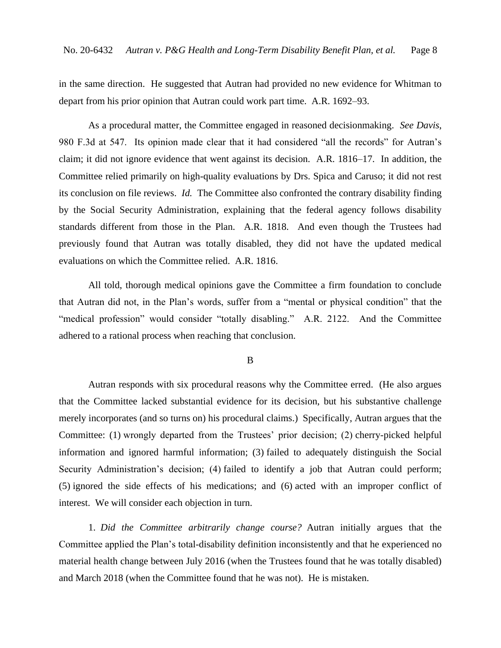in the same direction. He suggested that Autran had provided no new evidence for Whitman to depart from his prior opinion that Autran could work part time. A.R. 1692–93.

As a procedural matter, the Committee engaged in reasoned decisionmaking. *See Davis*, 980 F.3d at 547. Its opinion made clear that it had considered "all the records" for Autran's claim; it did not ignore evidence that went against its decision. A.R. 1816–17. In addition, the Committee relied primarily on high-quality evaluations by Drs. Spica and Caruso; it did not rest its conclusion on file reviews. *Id.* The Committee also confronted the contrary disability finding by the Social Security Administration, explaining that the federal agency follows disability standards different from those in the Plan. A.R. 1818. And even though the Trustees had previously found that Autran was totally disabled, they did not have the updated medical evaluations on which the Committee relied. A.R. 1816.

All told, thorough medical opinions gave the Committee a firm foundation to conclude that Autran did not, in the Plan's words, suffer from a "mental or physical condition" that the "medical profession" would consider "totally disabling." A.R. 2122. And the Committee adhered to a rational process when reaching that conclusion.

### B

Autran responds with six procedural reasons why the Committee erred. (He also argues that the Committee lacked substantial evidence for its decision, but his substantive challenge merely incorporates (and so turns on) his procedural claims.) Specifically, Autran argues that the Committee: (1) wrongly departed from the Trustees' prior decision; (2) cherry-picked helpful information and ignored harmful information; (3) failed to adequately distinguish the Social Security Administration's decision; (4) failed to identify a job that Autran could perform; (5) ignored the side effects of his medications; and (6) acted with an improper conflict of interest. We will consider each objection in turn.

1. *Did the Committee arbitrarily change course?* Autran initially argues that the Committee applied the Plan's total-disability definition inconsistently and that he experienced no material health change between July 2016 (when the Trustees found that he was totally disabled) and March 2018 (when the Committee found that he was not). He is mistaken.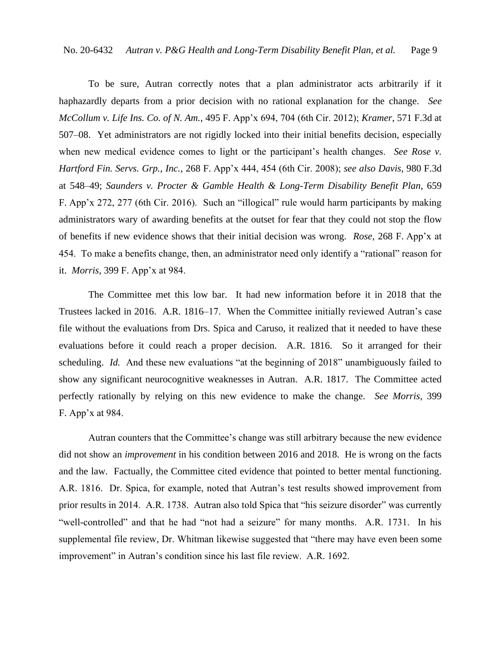To be sure, Autran correctly notes that a plan administrator acts arbitrarily if it haphazardly departs from a prior decision with no rational explanation for the change. *See McCollum v. Life Ins. Co. of N. Am.*, 495 F. App'x 694, 704 (6th Cir. 2012); *Kramer*, 571 F.3d at 507–08. Yet administrators are not rigidly locked into their initial benefits decision, especially when new medical evidence comes to light or the participant's health changes. *See Rose v. Hartford Fin. Servs. Grp., Inc.*, 268 F. App'x 444, 454 (6th Cir. 2008); *see also Davis*, 980 F.3d at 548–49; *Saunders v. Procter & Gamble Health & Long-Term Disability Benefit Plan*, 659 F. App'x 272, 277 (6th Cir. 2016). Such an "illogical" rule would harm participants by making administrators wary of awarding benefits at the outset for fear that they could not stop the flow of benefits if new evidence shows that their initial decision was wrong. *Rose*, 268 F. App'x at 454. To make a benefits change, then, an administrator need only identify a "rational" reason for it. *Morris*, 399 F. App'x at 984.

The Committee met this low bar. It had new information before it in 2018 that the Trustees lacked in 2016. A.R. 1816–17. When the Committee initially reviewed Autran's case file without the evaluations from Drs. Spica and Caruso, it realized that it needed to have these evaluations before it could reach a proper decision. A.R. 1816. So it arranged for their scheduling. *Id.* And these new evaluations "at the beginning of 2018" unambiguously failed to show any significant neurocognitive weaknesses in Autran. A.R. 1817. The Committee acted perfectly rationally by relying on this new evidence to make the change. *See Morris*, 399 F. App'x at 984.

Autran counters that the Committee's change was still arbitrary because the new evidence did not show an *improvement* in his condition between 2016 and 2018. He is wrong on the facts and the law. Factually, the Committee cited evidence that pointed to better mental functioning. A.R. 1816. Dr. Spica, for example, noted that Autran's test results showed improvement from prior results in 2014. A.R. 1738. Autran also told Spica that "his seizure disorder" was currently "well-controlled" and that he had "not had a seizure" for many months. A.R. 1731. In his supplemental file review, Dr. Whitman likewise suggested that "there may have even been some improvement" in Autran's condition since his last file review. A.R. 1692.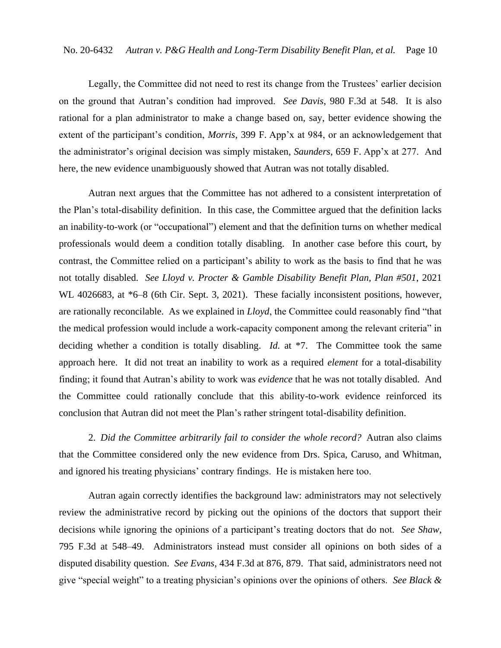Legally, the Committee did not need to rest its change from the Trustees' earlier decision on the ground that Autran's condition had improved. *See Davis*, 980 F.3d at 548. It is also rational for a plan administrator to make a change based on, say, better evidence showing the extent of the participant's condition, *Morris*, 399 F. App'x at 984, or an acknowledgement that the administrator's original decision was simply mistaken, *Saunders*, 659 F. App'x at 277. And here, the new evidence unambiguously showed that Autran was not totally disabled.

Autran next argues that the Committee has not adhered to a consistent interpretation of the Plan's total-disability definition. In this case, the Committee argued that the definition lacks an inability-to-work (or "occupational") element and that the definition turns on whether medical professionals would deem a condition totally disabling. In another case before this court, by contrast, the Committee relied on a participant's ability to work as the basis to find that he was not totally disabled. *See Lloyd v. Procter & Gamble Disability Benefit Plan, Plan #501*, 2021 WL 4026683, at  $*6-8$  (6th Cir. Sept. 3, 2021). These facially inconsistent positions, however, are rationally reconcilable. As we explained in *Lloyd*, the Committee could reasonably find "that the medical profession would include a work-capacity component among the relevant criteria" in deciding whether a condition is totally disabling. *Id.* at \*7. The Committee took the same approach here. It did not treat an inability to work as a required *element* for a total-disability finding; it found that Autran's ability to work was *evidence* that he was not totally disabled. And the Committee could rationally conclude that this ability-to-work evidence reinforced its conclusion that Autran did not meet the Plan's rather stringent total-disability definition.

2. *Did the Committee arbitrarily fail to consider the whole record?* Autran also claims that the Committee considered only the new evidence from Drs. Spica, Caruso, and Whitman, and ignored his treating physicians' contrary findings. He is mistaken here too.

Autran again correctly identifies the background law: administrators may not selectively review the administrative record by picking out the opinions of the doctors that support their decisions while ignoring the opinions of a participant's treating doctors that do not. *See Shaw*, 795 F.3d at 548–49. Administrators instead must consider all opinions on both sides of a disputed disability question. *See Evans*, 434 F.3d at 876, 879. That said, administrators need not give "special weight" to a treating physician's opinions over the opinions of others. *See Black &*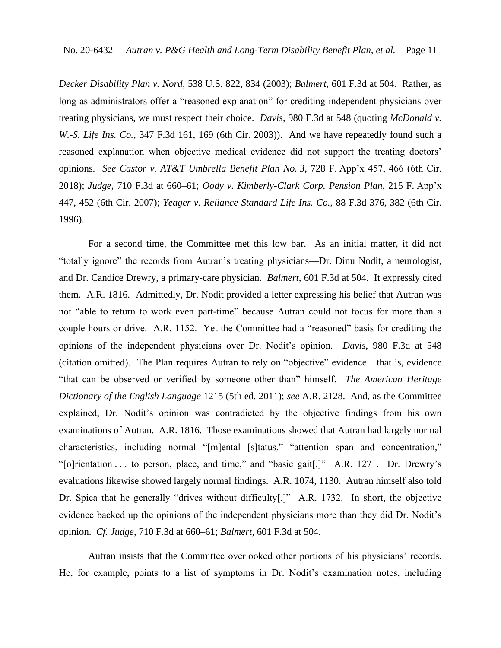*Decker Disability Plan v. Nord*, 538 U.S. 822, 834 (2003); *Balmert*, 601 F.3d at 504. Rather, as long as administrators offer a "reasoned explanation" for crediting independent physicians over treating physicians, we must respect their choice. *Davis*, 980 F.3d at 548 (quoting *McDonald v. W.-S. Life Ins. Co.*, 347 F.3d 161, 169 (6th Cir. 2003)). And we have repeatedly found such a reasoned explanation when objective medical evidence did not support the treating doctors' opinions. *See Castor v. AT&T Umbrella Benefit Plan No. 3*, 728 F. App'x 457, 466 (6th Cir. 2018); *Judge*, 710 F.3d at 660–61; *Oody v. Kimberly-Clark Corp. Pension Plan*, 215 F. App'x 447, 452 (6th Cir. 2007); *Yeager v. Reliance Standard Life Ins. Co.*, 88 F.3d 376, 382 (6th Cir. 1996).

For a second time, the Committee met this low bar. As an initial matter, it did not "totally ignore" the records from Autran's treating physicians—Dr. Dinu Nodit, a neurologist, and Dr. Candice Drewry, a primary-care physician. *Balmert*, 601 F.3d at 504. It expressly cited them. A.R. 1816. Admittedly, Dr. Nodit provided a letter expressing his belief that Autran was not "able to return to work even part-time" because Autran could not focus for more than a couple hours or drive. A.R. 1152. Yet the Committee had a "reasoned" basis for crediting the opinions of the independent physicians over Dr. Nodit's opinion. *Davis*, 980 F.3d at 548 (citation omitted). The Plan requires Autran to rely on "objective" evidence—that is, evidence "that can be observed or verified by someone other than" himself. *The American Heritage Dictionary of the English Language* 1215 (5th ed. 2011); *see* A.R. 2128. And, as the Committee explained, Dr. Nodit's opinion was contradicted by the objective findings from his own examinations of Autran. A.R. 1816. Those examinations showed that Autran had largely normal characteristics, including normal "[m]ental [s]tatus," "attention span and concentration," "[o]rientation . . . to person, place, and time," and "basic gait[.]" A.R. 1271. Dr. Drewry's evaluations likewise showed largely normal findings. A.R. 1074, 1130. Autran himself also told Dr. Spica that he generally "drives without difficulty[.]" A.R. 1732. In short, the objective evidence backed up the opinions of the independent physicians more than they did Dr. Nodit's opinion. *Cf. Judge*, 710 F.3d at 660–61; *Balmert*, 601 F.3d at 504.

Autran insists that the Committee overlooked other portions of his physicians' records. He, for example, points to a list of symptoms in Dr. Nodit's examination notes, including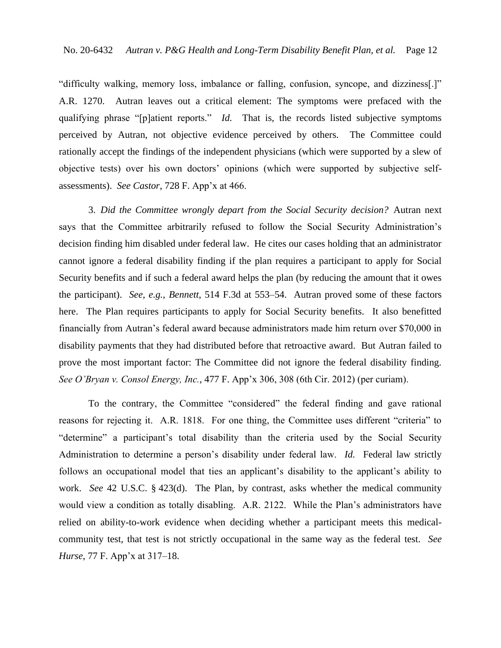"difficulty walking, memory loss, imbalance or falling, confusion, syncope, and dizziness[.]" A.R. 1270. Autran leaves out a critical element: The symptoms were prefaced with the qualifying phrase "[p]atient reports." *Id.* That is, the records listed subjective symptoms perceived by Autran, not objective evidence perceived by others. The Committee could rationally accept the findings of the independent physicians (which were supported by a slew of objective tests) over his own doctors' opinions (which were supported by subjective selfassessments). *See Castor*, 728 F. App'x at 466.

3. *Did the Committee wrongly depart from the Social Security decision?* Autran next says that the Committee arbitrarily refused to follow the Social Security Administration's decision finding him disabled under federal law. He cites our cases holding that an administrator cannot ignore a federal disability finding if the plan requires a participant to apply for Social Security benefits and if such a federal award helps the plan (by reducing the amount that it owes the participant). *See, e.g.*, *Bennett*, 514 F.3d at 553–54. Autran proved some of these factors here. The Plan requires participants to apply for Social Security benefits. It also benefitted financially from Autran's federal award because administrators made him return over \$70,000 in disability payments that they had distributed before that retroactive award. But Autran failed to prove the most important factor: The Committee did not ignore the federal disability finding. *See O'Bryan v. Consol Energy, Inc.*, 477 F. App'x 306, 308 (6th Cir. 2012) (per curiam).

To the contrary, the Committee "considered" the federal finding and gave rational reasons for rejecting it. A.R. 1818. For one thing, the Committee uses different "criteria" to "determine" a participant's total disability than the criteria used by the Social Security Administration to determine a person's disability under federal law. *Id.* Federal law strictly follows an occupational model that ties an applicant's disability to the applicant's ability to work. *See* 42 U.S.C. § 423(d). The Plan, by contrast, asks whether the medical community would view a condition as totally disabling. A.R. 2122. While the Plan's administrators have relied on ability-to-work evidence when deciding whether a participant meets this medicalcommunity test, that test is not strictly occupational in the same way as the federal test. *See Hurse*, 77 F. App'x at 317–18.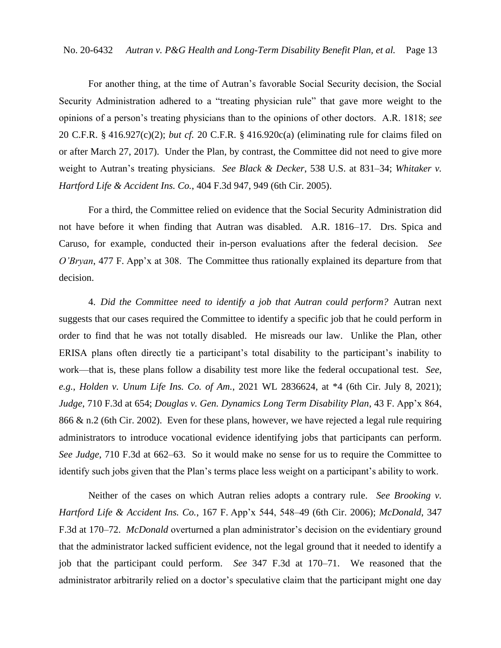For another thing, at the time of Autran's favorable Social Security decision, the Social Security Administration adhered to a "treating physician rule" that gave more weight to the opinions of a person's treating physicians than to the opinions of other doctors. A.R. 1818; *see* 20 C.F.R. § 416.927(c)(2); *but cf.* 20 C.F.R. § 416.920c(a) (eliminating rule for claims filed on or after March 27, 2017). Under the Plan, by contrast, the Committee did not need to give more weight to Autran's treating physicians. *See Black & Decker*, 538 U.S. at 831–34; *Whitaker v. Hartford Life & Accident Ins. Co.*, 404 F.3d 947, 949 (6th Cir. 2005).

For a third, the Committee relied on evidence that the Social Security Administration did not have before it when finding that Autran was disabled. A.R. 1816–17. Drs. Spica and Caruso, for example, conducted their in-person evaluations after the federal decision. *See O'Bryan*, 477 F. App'x at 308. The Committee thus rationally explained its departure from that decision.

4. *Did the Committee need to identify a job that Autran could perform?* Autran next suggests that our cases required the Committee to identify a specific job that he could perform in order to find that he was not totally disabled. He misreads our law. Unlike the Plan, other ERISA plans often directly tie a participant's total disability to the participant's inability to work—that is, these plans follow a disability test more like the federal occupational test. *See, e.g.*, *Holden v. Unum Life Ins. Co. of Am.*, 2021 WL 2836624, at \*4 (6th Cir. July 8, 2021); *Judge*, 710 F.3d at 654; *Douglas v. Gen. Dynamics Long Term Disability Plan*, 43 F. App'x 864, 866 & n.2 (6th Cir. 2002). Even for these plans, however, we have rejected a legal rule requiring administrators to introduce vocational evidence identifying jobs that participants can perform. *See Judge*, 710 F.3d at 662–63. So it would make no sense for us to require the Committee to identify such jobs given that the Plan's terms place less weight on a participant's ability to work.

Neither of the cases on which Autran relies adopts a contrary rule. *See Brooking v. Hartford Life & Accident Ins. Co.*, 167 F. App'x 544, 548–49 (6th Cir. 2006); *McDonald*, 347 F.3d at 170–72. *McDonald* overturned a plan administrator's decision on the evidentiary ground that the administrator lacked sufficient evidence, not the legal ground that it needed to identify a job that the participant could perform. *See* 347 F.3d at 170–71. We reasoned that the administrator arbitrarily relied on a doctor's speculative claim that the participant might one day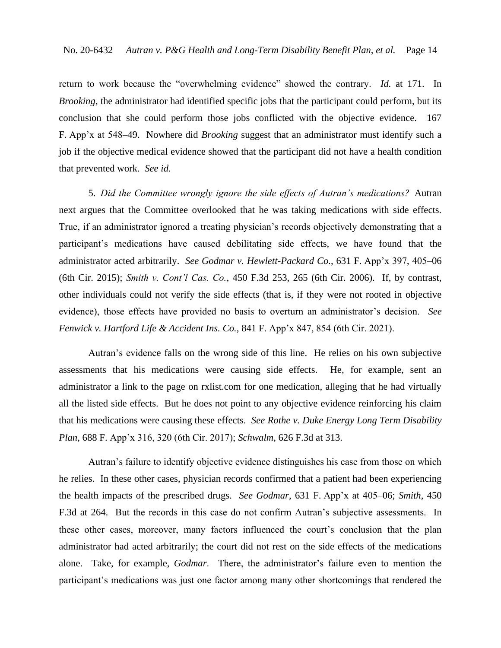return to work because the "overwhelming evidence" showed the contrary. *Id.* at 171. In *Brooking*, the administrator had identified specific jobs that the participant could perform, but its conclusion that she could perform those jobs conflicted with the objective evidence. 167 F. App'x at 548–49. Nowhere did *Brooking* suggest that an administrator must identify such a job if the objective medical evidence showed that the participant did not have a health condition that prevented work. *See id.*

5. *Did the Committee wrongly ignore the side effects of Autran's medications?* Autran next argues that the Committee overlooked that he was taking medications with side effects. True, if an administrator ignored a treating physician's records objectively demonstrating that a participant's medications have caused debilitating side effects, we have found that the administrator acted arbitrarily. *See Godmar v. Hewlett-Packard Co.*, 631 F. App'x 397, 405–06 (6th Cir. 2015); *Smith v. Cont'l Cas. Co.*, 450 F.3d 253, 265 (6th Cir. 2006). If, by contrast, other individuals could not verify the side effects (that is, if they were not rooted in objective evidence), those effects have provided no basis to overturn an administrator's decision. *See Fenwick v. Hartford Life & Accident Ins. Co.*, 841 F. App'x 847, 854 (6th Cir. 2021).

Autran's evidence falls on the wrong side of this line. He relies on his own subjective assessments that his medications were causing side effects. He, for example, sent an administrator a link to the page on rxlist.com for one medication, alleging that he had virtually all the listed side effects. But he does not point to any objective evidence reinforcing his claim that his medications were causing these effects. *See Rothe v. Duke Energy Long Term Disability Plan*, 688 F. App'x 316, 320 (6th Cir. 2017); *Schwalm*, 626 F.3d at 313.

Autran's failure to identify objective evidence distinguishes his case from those on which he relies. In these other cases, physician records confirmed that a patient had been experiencing the health impacts of the prescribed drugs. *See Godmar*, 631 F. App'x at 405–06; *Smith*, 450 F.3d at 264. But the records in this case do not confirm Autran's subjective assessments. In these other cases, moreover, many factors influenced the court's conclusion that the plan administrator had acted arbitrarily; the court did not rest on the side effects of the medications alone. Take, for example, *Godmar*. There, the administrator's failure even to mention the participant's medications was just one factor among many other shortcomings that rendered the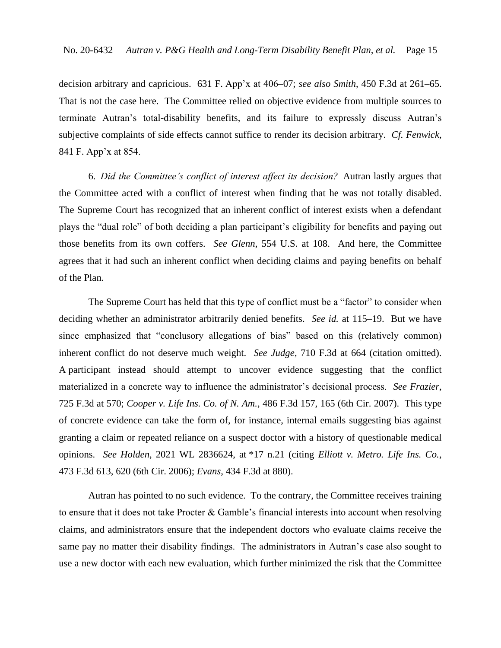decision arbitrary and capricious. 631 F. App'x at 406–07; *see also Smith*, 450 F.3d at 261–65. That is not the case here. The Committee relied on objective evidence from multiple sources to terminate Autran's total-disability benefits, and its failure to expressly discuss Autran's subjective complaints of side effects cannot suffice to render its decision arbitrary. *Cf. Fenwick*, 841 F. App'x at 854.

6. *Did the Committee's conflict of interest affect its decision?* Autran lastly argues that the Committee acted with a conflict of interest when finding that he was not totally disabled. The Supreme Court has recognized that an inherent conflict of interest exists when a defendant plays the "dual role" of both deciding a plan participant's eligibility for benefits and paying out those benefits from its own coffers. *See Glenn*, 554 U.S. at 108. And here, the Committee agrees that it had such an inherent conflict when deciding claims and paying benefits on behalf of the Plan.

The Supreme Court has held that this type of conflict must be a "factor" to consider when deciding whether an administrator arbitrarily denied benefits. *See id.* at 115–19. But we have since emphasized that "conclusory allegations of bias" based on this (relatively common) inherent conflict do not deserve much weight. *See Judge*, 710 F.3d at 664 (citation omitted). A participant instead should attempt to uncover evidence suggesting that the conflict materialized in a concrete way to influence the administrator's decisional process. *See Frazier*, 725 F.3d at 570; *Cooper v. Life Ins. Co. of N. Am.*, 486 F.3d 157, 165 (6th Cir. 2007). This type of concrete evidence can take the form of, for instance, internal emails suggesting bias against granting a claim or repeated reliance on a suspect doctor with a history of questionable medical opinions. *See Holden*, 2021 WL 2836624, at \*17 n.21 (citing *Elliott v. Metro. Life Ins. Co.*, 473 F.3d 613, 620 (6th Cir. 2006); *Evans*, 434 F.3d at 880).

Autran has pointed to no such evidence. To the contrary, the Committee receives training to ensure that it does not take Procter & Gamble's financial interests into account when resolving claims, and administrators ensure that the independent doctors who evaluate claims receive the same pay no matter their disability findings. The administrators in Autran's case also sought to use a new doctor with each new evaluation, which further minimized the risk that the Committee